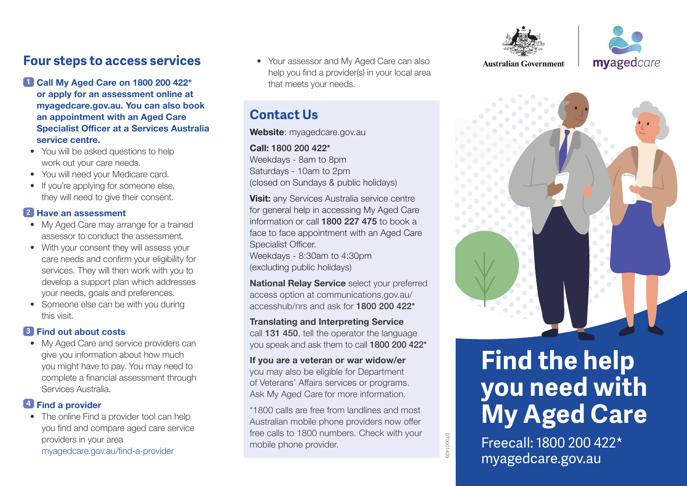## **Four steps to access services**

- **1 Call My Aged Care on 1800 200 422\* or apply for an assessment online at myagedcare.gov.au. You can also book an appointment with an Aged Care Specialist Officer at a Services Australia service centre.**
- You will be asked questions to help work out your care needs.
- You will need your Medicare card.
- If you're applying for someone else, they will need to give their consent.

#### **2 Have an assessment**

- My Aged Care may arrange for a trained assessor to conduct the assessment.
- With your consent they will assess your care needs and confirm your eligibility for services. They will then work with you to develop a support plan which addresses your needs, goals and preferences.
- Someone else can be with you during this visit.

#### **3 Find out about costs**

• My Aged Care and service providers can give you information about how much you might have to pay. You may need to complete a financial assessment through Services Australia.

#### **<sup>4</sup> Find a provider**

• The online Find a provider tool can help you find and compare aged care service providers in your area [myagedcare.gov.au/find-a-provider](http://myagedcare.gov.au/find-a-provider)

• Your assessor and My Aged Care can also help you find a provider(s) in your local area that meets your needs.

## **Contact Us**

**Website**: myagedcare.gov.au

#### **Call:** 1800 200 422\*

Weekdays - 8am to 8pm Saturdays - 10am to 2pm (closed on Sundays & public holidays)

**Visit:** any Services Australia service centre for general help in accessing My Aged Care information or call 1800 227 475 to book a face to face appointment with an Aged Care Specialist Officer.

Weekdays - 8:30am to 4:30pm (excluding public holidays)

**National Relay Service** select your preferred access option at communications.gov.au/ accesshub/nrs and ask for 1800 200 422\*

#### **Translating and Interpreting Service**

call 131 450, tell the operator the language you speak and ask them to call 1800 200 422\*

**If you are a veteran or war widow/er** you may also be eligible for Department of Veterans' Affairs services or programs. Ask My Aged Care for more information.

\*1800 calls are free from landlines and most Australian mobile phone providers now offer free calls to 1800 numbers. Check with your mobile phone provider.



myagedcare



# **Find the help you need with My Aged Care**

Freecall: 1800 200 422\* [myagedcare.gov.au](http://myagedcare.gov.au)